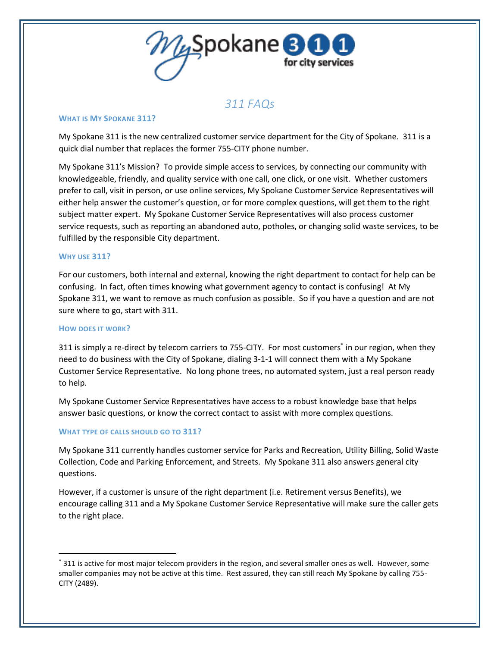

# *311 FAQs*

#### **WHAT IS MY SPOKANE 311?**

My Spokane 311 is the new centralized customer service department for the City of Spokane. 311 is a quick dial number that replaces the former 755-CITY phone number.

My Spokane 311's Mission? To provide simple access to services, by connecting our community with knowledgeable, friendly, and quality service with one call, one click, or one visit. Whether customers prefer to call, visit in person, or use online services, My Spokane Customer Service Representatives will either help answer the customer's question, or for more complex questions, will get them to the right subject matter expert. My Spokane Customer Service Representatives will also process customer service requests, such as reporting an abandoned auto, potholes, or changing solid waste services, to be fulfilled by the responsible City department.

#### **WHY USE 311?**

For our customers, both internal and external, knowing the right department to contact for help can be confusing. In fact, often times knowing what government agency to contact is confusing! At My Spokane 311, we want to remove as much confusion as possible. So if you have a question and are not sure where to go, start with 311.

#### **HOW DOES IT WORK?**

 $\overline{a}$ 

311 is simply a re-direct by telecom carriers to 755-CITY. For most customers in our region, when they need to do business with the City of Spokane, dialing 3-1-1 will connect them with a My Spokane Customer Service Representative. No long phone trees, no automated system, just a real person ready to help.

My Spokane Customer Service Representatives have access to a robust knowledge base that helps answer basic questions, or know the correct contact to assist with more complex questions.

#### **WHAT TYPE OF CALLS SHOULD GO TO 311?**

My Spokane 311 currently handles customer service for Parks and Recreation, Utility Billing, Solid Waste Collection, Code and Parking Enforcement, and Streets. My Spokane 311 also answers general city questions.

However, if a customer is unsure of the right department (i.e. Retirement versus Benefits), we encourage calling 311 and a My Spokane Customer Service Representative will make sure the caller gets to the right place.

311 is active for most major telecom providers in the region, and several smaller ones as well. However, some smaller companies may not be active at this time. Rest assured, they can still reach My Spokane by calling 755- CITY (2489).